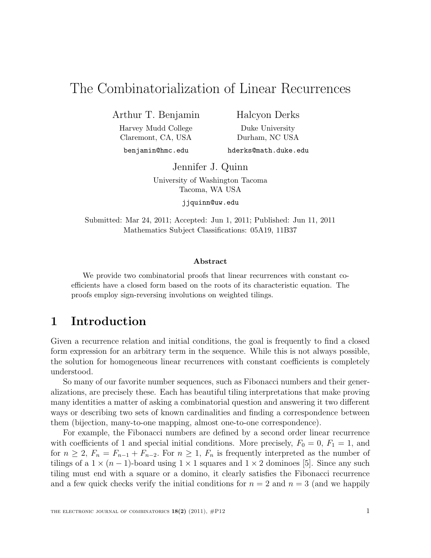# The Combinatorialization of Linear Recurrences

Arthur T. Benjamin

Harvey Mudd College Claremont, CA, USA

Halcyon Derks Duke University Durham, NC USA

benjamin@hmc.edu

hderks@math.duke.edu

Jennifer J. Quinn

University of Washington Tacoma Tacoma, WA USA

jjquinn@uw.edu

Submitted: Mar 24, 2011; Accepted: Jun 1, 2011; Published: Jun 11, 2011 Mathematics Subject Classifications: 05A19, 11B37

#### Abstract

We provide two combinatorial proofs that linear recurrences with constant coefficients have a closed form based on the roots of its characteristic equation. The proofs employ sign-reversing involutions on weighted tilings.

### 1 Introduction

Given a recurrence relation and initial conditions, the goal is frequently to find a closed form expression for an arbitrary term in the sequence. While this is not always possible, the solution for homogeneous linear recurrences with constant coefficients is completely understood.

So many of our favorite number sequences, such as Fibonacci numbers and their generalizations, are precisely these. Each has beautiful tiling interpretations that make proving many identities a matter of asking a combinatorial question and answering it two different ways or describing two sets of known cardinalities and finding a correspondence between them (bijection, many-to-one mapping, almost one-to-one correspondence).

For example, the Fibonacci numbers are defined by a second order linear recurrence with coefficients of 1 and special initial conditions. More precisely,  $F_0 = 0$ ,  $F_1 = 1$ , and for  $n \geq 2$ ,  $F_n = F_{n-1} + F_{n-2}$ . For  $n \geq 1$ ,  $F_n$  is frequently interpreted as the number of tilings of a  $1 \times (n-1)$ -board using  $1 \times 1$  squares and  $1 \times 2$  dominoes [5]. Since any such tiling must end with a square or a domino, it clearly satisfies the Fibonacci recurrence and a few quick checks verify the initial conditions for  $n = 2$  and  $n = 3$  (and we happily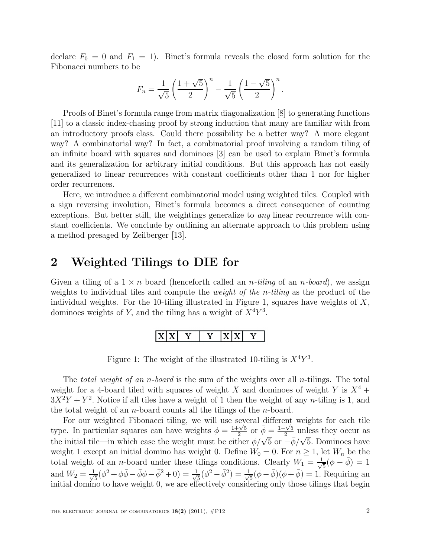declare  $F_0 = 0$  and  $F_1 = 1$ ). Binet's formula reveals the closed form solution for the Fibonacci numbers to be

$$
F_n = \frac{1}{\sqrt{5}} \left( \frac{1 + \sqrt{5}}{2} \right)^n - \frac{1}{\sqrt{5}} \left( \frac{1 - \sqrt{5}}{2} \right)^n.
$$

Proofs of Binet's formula range from matrix diagonalization [8] to generating functions [11] to a classic index-chasing proof by strong induction that many are familiar with from an introductory proofs class. Could there possibility be a better way? A more elegant way? A combinatorial way? In fact, a combinatorial proof involving a random tiling of an infinite board with squares and dominoes [3] can be used to explain Binet's formula and its generalization for arbitrary initial conditions. But this approach has not easily generalized to linear recurrences with constant coefficients other than 1 nor for higher order recurrences.

Here, we introduce a different combinatorial model using weighted tiles. Coupled with a sign reversing involution, Binet's formula becomes a direct consequence of counting exceptions. But better still, the weightings generalize to any linear recurrence with constant coefficients. We conclude by outlining an alternate approach to this problem using a method presaged by Zeilberger [13].

### 2 Weighted Tilings to DIE for

Given a tiling of a  $1 \times n$  board (henceforth called an *n*-tiling of an *n*-board), we assign weights to individual tiles and compute the *weight of the n-tiling* as the product of the individual weights. For the 10-tiling illustrated in Figure 1, squares have weights of  $X$ , dominoes weights of Y, and the tiling has a weight of  $X^4Y^3$ .



Figure 1: The weight of the illustrated 10-tiling is  $X^4Y^3$ .

The *total weight of an n-board* is the sum of the weights over all *n*-tilings. The total weight for a 4-board tiled with squares of weight X and dominoes of weight Y is  $X^4$  +  $3X^2Y + Y^2$ . Notice if all tiles have a weight of 1 then the weight of any *n*-tiling is 1, and the total weight of an n-board counts all the tilings of the n-board.

For our weighted Fibonacci tiling, we will use several different weights for each tile type. In particular squares can have weights  $\phi = \frac{1+\sqrt{5}}{2}$  $\frac{\sqrt{5}}{2}$  or  $\bar{\phi} = \frac{1-\sqrt{5}}{2}$  $\frac{1}{2}$ <sup>2</sup> unless they occur as the initial tile—in which case the weight must be either  $\phi/\sqrt{5}$  or  $-\bar{\phi}/\sqrt{5}$ . Dominoes have weight 1 except an initial domino has weight 0. Define  $W_0 = 0$ . For  $n \ge 1$ , let  $W_n$  be the total weight of an *n*-board under these tilings conditions. Clearly  $W_1 = \frac{1}{\sqrt{2}}$  $\frac{1}{5}(\phi - \bar{\phi}) = 1$ and  $W_2 = \frac{1}{\sqrt{2}}$  $\frac{1}{5}(\phi^2 + \phi\bar{\phi} - \bar{\phi}\phi - \bar{\phi}^2 + 0) = \frac{1}{\sqrt{2}}$  $\frac{1}{5}(\phi^2 - \bar{\phi}^2) = \frac{1}{\sqrt{2}}$  $\frac{1}{5}(\phi - \bar{\phi})(\phi + \bar{\phi}) = 1.$  Requiring an initial domino to have weight 0, we are effectively considering only those tilings that begin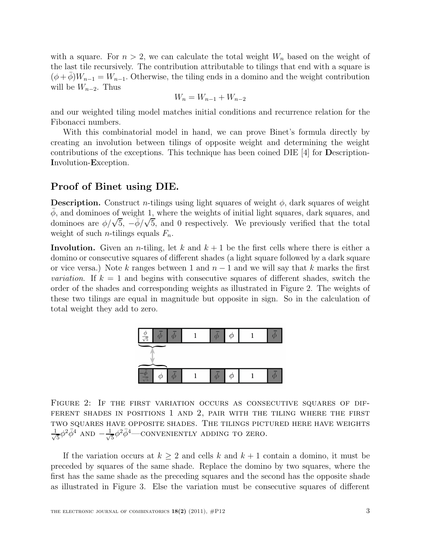with a square. For  $n > 2$ , we can calculate the total weight  $W_n$  based on the weight of the last tile recursively. The contribution attributable to tilings that end with a square is  $(\phi + \phi)W_{n-1} = W_{n-1}$ . Otherwise, the tiling ends in a domino and the weight contribution will be  $W_{n-2}$ . Thus

$$
W_n = W_{n-1} + W_{n-2}
$$

and our weighted tiling model matches initial conditions and recurrence relation for the Fibonacci numbers.

With this combinatorial model in hand, we can prove Binet's formula directly by creating an involution between tilings of opposite weight and determining the weight contributions of the exceptions. This technique has been coined DIE [4] for Description-Involution-Exception.

### Proof of Binet using DIE.

**Description.** Construct *n*-tilings using light squares of weight  $\phi$ , dark squares of weight  $\bar{\phi}$ , and dominoes of weight 1, where the weights of initial light squares, dark squares, and dominoes are  $\phi/\sqrt{5}$ ,  $-\bar{\phi}/\sqrt{5}$ , and 0 respectively. We previously verified that the total weight of such *n*-tilings equals  $F_n$ .

Involution. Given an *n*-tiling, let k and  $k + 1$  be the first cells where there is either a domino or consecutive squares of different shades (a light square followed by a dark square or vice versa.) Note k ranges between 1 and  $n-1$  and we will say that k marks the first *variation*. If  $k = 1$  and begins with consecutive squares of different shades, switch the order of the shades and corresponding weights as illustrated in Figure 2. The weights of these two tilings are equal in magnitude but opposite in sign. So in the calculation of total weight they add to zero.



Figure 2: If the first variation occurs as consecutive squares of different shades in positions 1 and 2, pair with the tiling where the first two squares have opposite shades. The tilings pictured here have weights √ 1  $\frac{1}{5} \phi^2 \bar{\phi}^4$  AND  $-\frac{1}{\sqrt{2}}$  $\frac{1}{5}\phi^2\bar{\phi}^4$  — CONVENIENTLY ADDING TO ZERO.

If the variation occurs at  $k \geq 2$  and cells k and  $k + 1$  contain a domino, it must be preceded by squares of the same shade. Replace the domino by two squares, where the first has the same shade as the preceding squares and the second has the opposite shade as illustrated in Figure 3. Else the variation must be consecutive squares of different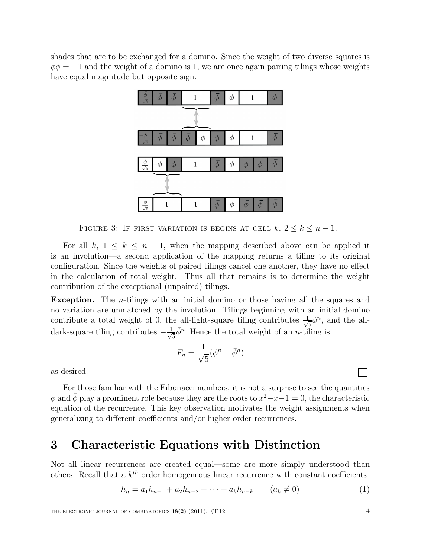shades that are to be exchanged for a domino. Since the weight of two diverse squares is  $\phi \bar{\phi} = -1$  and the weight of a domino is 1, we are once again pairing tilings whose weights have equal magnitude but opposite sign.



FIGURE 3: IF FIRST VARIATION IS BEGINS AT CELL  $k, 2 \leq k \leq n-1$ .

For all k,  $1 \leq k \leq n-1$ , when the mapping described above can be applied it is an involution—a second application of the mapping returns a tiling to its original configuration. Since the weights of paired tilings cancel one another, they have no effect in the calculation of total weight. Thus all that remains is to determine the weight contribution of the exceptional (unpaired) tilings.

Exception. The *n*-tilings with an initial domino or those having all the squares and no variation are unmatched by the involution. Tilings beginning with an initial domino contribute a total weight of 0, the all-light-square tiling contributes  $\frac{1}{\sqrt{2}}$  $\frac{1}{5}\phi^n$ , and the alldark-square tiling contributes  $-\frac{1}{\sqrt{2}}$  $\frac{1}{5}\bar{\phi}^n$ . Hence the total weight of an *n*-tiling is

$$
F_n = \frac{1}{\sqrt{5}} (\phi^n - \bar{\phi}^n)
$$

as desired.

For those familiar with the Fibonacci numbers, it is not a surprise to see the quantities  $\phi$  and  $\bar{\phi}$  play a prominent role because they are the roots to  $x^2 - x - 1 = 0$ , the characteristic equation of the recurrence. This key observation motivates the weight assignments when generalizing to different coefficients and/or higher order recurrences.

### 3 Characteristic Equations with Distinction

Not all linear recurrences are created equal—some are more simply understood than others. Recall that a  $k^{th}$  order homogeneous linear recurrence with constant coefficients

$$
h_n = a_1 h_{n-1} + a_2 h_{n-2} + \dots + a_k h_{n-k} \qquad (a_k \neq 0)
$$
 (1)

THE ELECTRONIC JOURNAL OF COMBINATORICS  $18(2)$  (2011),  $\#P12$  4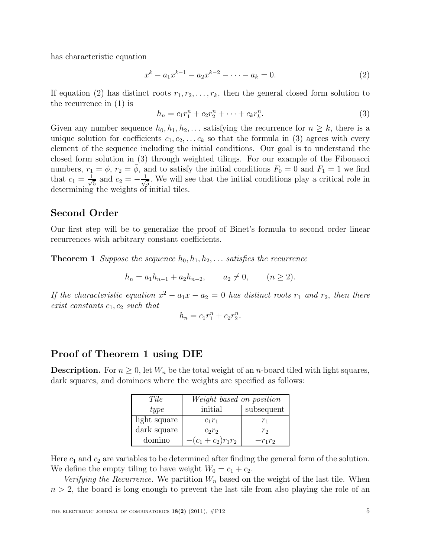has characteristic equation

$$
x^{k} - a_{1}x^{k-1} - a_{2}x^{k-2} - \dots - a_{k} = 0.
$$
 (2)

If equation (2) has distinct roots  $r_1, r_2, \ldots, r_k$ , then the general closed form solution to the recurrence in (1) is

$$
h_n = c_1 r_1^n + c_2 r_2^n + \dots + c_k r_k^n.
$$
\n(3)

Given any number sequence  $h_0, h_1, h_2, \ldots$  satisfying the recurrence for  $n \geq k$ , there is a unique solution for coefficients  $c_1, c_2, \ldots c_k$  so that the formula in (3) agrees with every element of the sequence including the initial conditions. Our goal is to understand the closed form solution in (3) through weighted tilings. For our example of the Fibonacci numbers,  $r_1 = \phi$ ,  $r_2 = \overline{\phi}$ , and to satisfy the initial conditions  $F_0 = 0$  and  $F_1 = 1$  we find that  $c_1 = \frac{1}{\sqrt{2}}$  $\frac{1}{5}$  and  $c_2 = -\frac{1}{\sqrt{2}}$  $\frac{1}{5}$ . We will see that the initial conditions play a critical role in determining the weights of initial tiles.

### Second Order

Our first step will be to generalize the proof of Binet's formula to second order linear recurrences with arbitrary constant coefficients.

**Theorem 1** Suppose the sequence  $h_0, h_1, h_2, \ldots$  satisfies the recurrence

$$
h_n = a_1 h_{n-1} + a_2 h_{n-2}, \qquad a_2 \neq 0, \qquad (n \ge 2).
$$

If the characteristic equation  $x^2 - a_1x - a_2 = 0$  has distinct roots  $r_1$  and  $r_2$ , then there exist constants  $c_1, c_2$  such that

$$
h_n = c_1 r_1^n + c_2 r_2^n.
$$

### Proof of Theorem 1 using DIE

**Description.** For  $n \geq 0$ , let  $W_n$  be the total weight of an *n*-board tiled with light squares, dark squares, and dominoes where the weights are specified as follows:

| Tile         | Weight based on position |                |
|--------------|--------------------------|----------------|
| type         | initial                  | subsequent     |
| light square | $c_1r_1$                 | Τ1             |
| dark square  | $c_2r_2$                 | r <sub>2</sub> |
| domino       | $-(c_1+c_2)r_1r_2$       | $-r_1r_2$      |

Here  $c_1$  and  $c_2$  are variables to be determined after finding the general form of the solution. We define the empty tiling to have weight  $W_0 = c_1 + c_2$ .

Verifying the Recurrence. We partition  $W_n$  based on the weight of the last tile. When  $n > 2$ , the board is long enough to prevent the last tile from also playing the role of an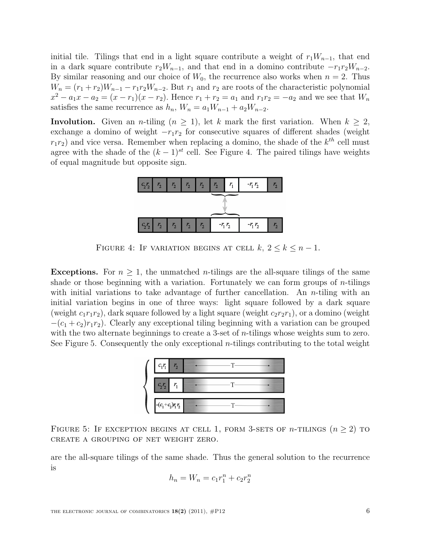initial tile. Tilings that end in a light square contribute a weight of  $r_1W_{n-1}$ , that end in a dark square contribute  $r_2W_{n-1}$ , and that end in a domino contribute  $-r_1r_2W_{n-2}$ . By similar reasoning and our choice of  $W_0$ , the recurrence also works when  $n = 2$ . Thus  $W_n = (r_1 + r_2)W_{n-1} - r_1r_2W_{n-2}$ . But  $r_1$  and  $r_2$  are roots of the characteristic polynomial  $x^2 - a_1x - a_2 = (x - r_1)(x - r_2)$ . Hence  $r_1 + r_2 = a_1$  and  $r_1r_2 = -a_2$  and we see that  $W_n$ satisfies the same recurrence as  $h_n$ ,  $W_n = a_1W_{n-1} + a_2W_{n-2}$ .

Involution. Given an *n*-tiling  $(n \geq 1)$ , let k mark the first variation. When  $k \geq 2$ , exchange a domino of weight  $-r_1r_2$  for consecutive squares of different shades (weight  $r_1r_2$ ) and vice versa. Remember when replacing a domino, the shade of the  $k^{th}$  cell must agree with the shade of the  $(k-1)^{st}$  cell. See Figure 4. The paired tilings have weights of equal magnitude but opposite sign.



FIGURE 4: IF VARIATION BEGINS AT CELL  $k, 2 \leq k \leq n-1$ .

**Exceptions.** For  $n \geq 1$ , the unmatched *n*-tilings are the all-square tilings of the same shade or those beginning with a variation. Fortunately we can form groups of  $n$ -tilings with initial variations to take advantage of further cancellation. An *n*-tiling with an initial variation begins in one of three ways: light square followed by a dark square (weight  $c_1r_1r_2$ ), dark square followed by a light square (weight  $c_2r_2r_1$ ), or a domino (weight  $-(c_1 + c_2)r_1r_2$ ). Clearly any exceptional tiling beginning with a variation can be grouped with the two alternate beginnings to create a 3-set of *n*-tilings whose weights sum to zero. See Figure 5. Consequently the only exceptional *n*-tilings contributing to the total weight



FIGURE 5: IF EXCEPTION BEGINS AT CELL 1, FORM 3-SETS OF *n*-TILINGS  $(n \geq 2)$  to create a grouping of net weight zero.

are the all-square tilings of the same shade. Thus the general solution to the recurrence is

$$
h_n = W_n = c_1 r_1^n + c_2 r_2^n
$$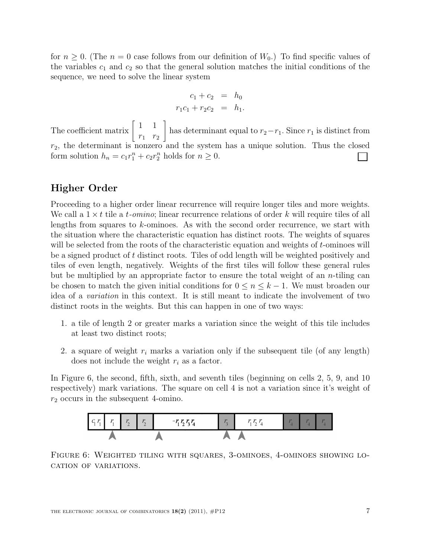for  $n \geq 0$ . (The  $n = 0$  case follows from our definition of  $W_0$ .) To find specific values of the variables  $c_1$  and  $c_2$  so that the general solution matches the initial conditions of the sequence, we need to solve the linear system

$$
c_1 + c_2 = h_0
$$
  

$$
r_1c_1 + r_2c_2 = h_1.
$$

The coefficient matrix  $\begin{bmatrix} 1 & 1 \\ 1 & 1 \end{bmatrix}$  $r_1$   $r_2$ 1 has determinant equal to  $r_2-r_1$ . Since  $r_1$  is distinct from  $r_2$ , the determinant is nonzero and the system has a unique solution. Thus the closed form solution  $h_n = c_1 r_1^n + c_2 r_2^n$  holds for  $n \ge 0$ .

### Higher Order

Proceeding to a higher order linear recurrence will require longer tiles and more weights. We call a  $1 \times t$  tile a t-omino; linear recurrence relations of order k will require tiles of all lengths from squares to k-ominoes. As with the second order recurrence, we start with the situation where the characteristic equation has distinct roots. The weights of squares will be selected from the roots of the characteristic equation and weights of t-ominoes will be a signed product of t distinct roots. Tiles of odd length will be weighted positively and tiles of even length, negatively. Weights of the first tiles will follow these general rules but be multiplied by an appropriate factor to ensure the total weight of an  $n$ -tiling can be chosen to match the given initial conditions for  $0 \le n \le k-1$ . We must broaden our idea of a variation in this context. It is still meant to indicate the involvement of two distinct roots in the weights. But this can happen in one of two ways:

- 1. a tile of length 2 or greater marks a variation since the weight of this tile includes at least two distinct roots;
- 2. a square of weight  $r_i$  marks a variation only if the subsequent tile (of any length) does not include the weight  $r_i$  as a factor.

In Figure 6, the second, fifth, sixth, and seventh tiles (beginning on cells 2, 5, 9, and 10 respectively) mark variations. The square on cell 4 is not a variation since it's weight of  $r_2$  occurs in the subsequent 4-omino.



FIGURE 6: WEIGHTED TILING WITH SQUARES, 3-OMINOES, 4-OMINOES SHOWING LOcation of variations.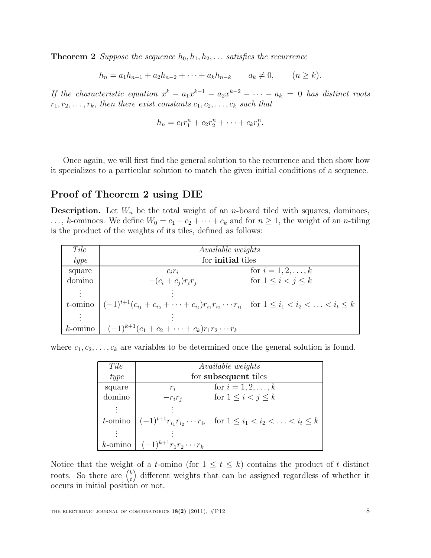**Theorem 2** Suppose the sequence  $h_0, h_1, h_2, \ldots$  satisfies the recurrence

 $h_n = a_1 h_{n-1} + a_2 h_{n-2} + \cdots + a_k h_{n-k} \qquad a_k \neq 0, \qquad (n \geq k).$ 

If the characteristic equation  $x^k - a_1x^{k-1} - a_2x^{k-2} - \cdots - a_k = 0$  has distinct roots  $r_1, r_2, \ldots, r_k$ , then there exist constants  $c_1, c_2, \ldots, c_k$  such that

$$
h_n = c_1 r_1^n + c_2 r_2^n + \dots + c_k r_k^n.
$$

Once again, we will first find the general solution to the recurrence and then show how it specializes to a particular solution to match the given initial conditions of a sequence.

#### Proof of Theorem 2 using DIE

**Description.** Let  $W_n$  be the total weight of an *n*-board tiled with squares, dominoes,  $\ldots$ , k-ominoes. We define  $W_0 = c_1 + c_2 + \cdots + c_k$  and for  $n \geq 1$ , the weight of an *n*-tiling is the product of the weights of its tiles, defined as follows:

| Tile           | <i>Available weights</i>                                                                                                             |                              |
|----------------|--------------------------------------------------------------------------------------------------------------------------------------|------------------------------|
| type           | for <b>initial</b> tiles                                                                                                             |                              |
| square         | $c_i r_i$                                                                                                                            | for $i = 1, 2, , k$          |
| domino         | $-(c_i+c_j)r_ir_i$                                                                                                                   | for $1 \leq i \leq j \leq k$ |
| $\ddot{\cdot}$ |                                                                                                                                      |                              |
|                | t-omino $ (-1)^{t+1}(c_{i_1} + c_{i_2} + \cdots + c_{i_t})r_{i_1}r_{i_2}\cdots r_{i_t}$ for $1 \leq i_1 < i_2 < \ldots < i_t \leq k$ |                              |
|                |                                                                                                                                      |                              |
|                | k-omino $(-1)^{k+1}(c_1+c_2+\cdots+c_k)r_1r_2\cdots r_k$                                                                             |                              |

where  $c_1, c_2, \ldots, c_k$  are variables to be determined once the general solution is found.

| Tile       |                              | <i>Available weights</i>                                                                              |
|------------|------------------------------|-------------------------------------------------------------------------------------------------------|
| type       | for subsequent tiles         |                                                                                                       |
| square     | $r_i$                        | for $i = 1, 2, , k$                                                                                   |
| omino      | $-r_i r_i$                   | for $1 \leq i < j \leq k$                                                                             |
|            |                              |                                                                                                       |
| $t$ -omino |                              | $\vert (-1)^{t+1} r_{i_1} r_{i_2} \cdots r_{i_t} \text{ for } 1 \leq i_1 < i_2 < \ldots < i_t \leq k$ |
|            |                              |                                                                                                       |
| $k$ -omino | $(-1)^{k+1}r_1r_2\cdots r_k$ |                                                                                                       |

Notice that the weight of a t-omino (for  $1 \leq t \leq k$ ) contains the product of t distinct roots. So there are  $\binom{k}{t}$ t different weights that can be assigned regardless of whether it occurs in initial position or not.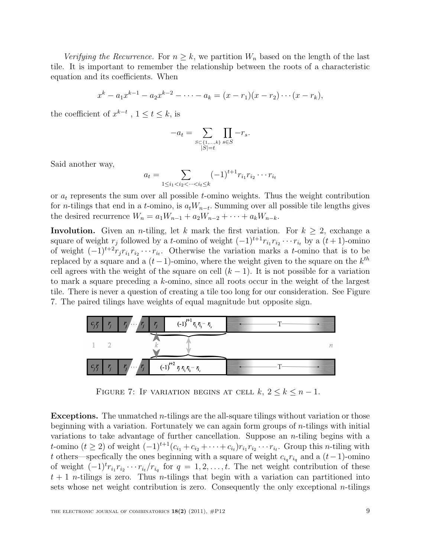Verifying the Recurrence. For  $n \geq k$ , we partition  $W_n$  based on the length of the last tile. It is important to remember the relationship between the roots of a characteristic equation and its coefficients. When

$$
x^{k} - a_{1}x^{k-1} - a_{2}x^{k-2} - \cdots - a_{k} = (x - r_{1})(x - r_{2})\cdots (x - r_{k}),
$$

the coefficient of  $x^{k-t}$ ,  $1 \le t \le k$ , is

$$
-a_t=\sum_{\substack{S\subset \{1,\ldots, k\}\\|S|=t}}\prod_{s\in S} -r_s.
$$

Said another way,

$$
a_t = \sum_{1 \le i_1 < i_2 < \dots < i_t \le k} (-1)^{t+1} r_{i_1} r_{i_2} \cdots r_{i_t}
$$

or  $a_t$  represents the sum over all possible t-omino weights. Thus the weight contribution for *n*-tilings that end in a *t*-omino, is  $a_tW_{n-t}$ . Summing over all possible tile lengths gives the desired recurrence  $W_n = a_1 W_{n-1} + a_2 W_{n-2} + \cdots + a_k W_{n-k}$ .

**Involution.** Given an *n*-tiling, let k mark the first variation. For  $k \geq 2$ , exchange a square of weight  $r_j$  followed by a t-omino of weight  $(-1)^{t+1}r_{i_1}r_{i_2}\cdots r_{i_t}$  by a  $(t+1)$ -omino of weight  $(-1)^{t+2} r_j r_{i_1} r_{i_2} \cdots r_{i_t}$ . Otherwise the variation marks a t-omino that is to be replaced by a square and a  $(t-1)$ -omino, where the weight given to the square on the  $k^{th}$ cell agrees with the weight of the square on cell  $(k - 1)$ . It is not possible for a variation to mark a square preceding a k-omino, since all roots occur in the weight of the largest tile. There is never a question of creating a tile too long for our consideration. See Figure 7. The paired tilings have weights of equal magnitude but opposite sign.



FIGURE 7: IF VARIATION BEGINS AT CELL  $k, 2 \leq k \leq n-1$ .

**Exceptions.** The unmatched  $n$ -tilings are the all-square tilings without variation or those beginning with a variation. Fortunately we can again form groups of  $n$ -tilings with initial variations to take advantage of further cancellation. Suppose an  $n$ -tiling begins with a t-omino  $(t \ge 2)$  of weight  $(-1)^{t+1}(c_{i_1}+c_{i_2}+\cdots+c_{i_t})r_{i_1}r_{i_2}\cdots r_{i_t}$ . Group this *n*-tiling with t others—specfically the ones beginning with a square of weight  $c_{i_q} r_{i_q}$  and a  $(t-1)$ -omino of weight  $(-1)^t r_{i_1} r_{i_2} \cdots r_{i_t}/r_{i_q}$  for  $q = 1, 2, \ldots, t$ . The net weight contribution of these  $t + 1$  n-tilings is zero. Thus n-tilings that begin with a variation can partitioned into sets whose net weight contribution is zero. Consequently the only exceptional *n*-tilings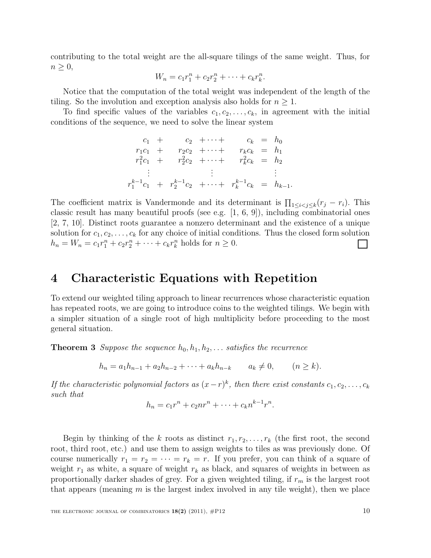contributing to the total weight are the all-square tilings of the same weight. Thus, for  $n \geq 0$ ,

$$
W_n = c_1 r_1^n + c_2 r_2^n + \dots + c_k r_k^n.
$$

Notice that the computation of the total weight was independent of the length of the tiling. So the involution and exception analysis also holds for  $n \geq 1$ .

To find specific values of the variables  $c_1, c_2, \ldots, c_k$ , in agreement with the initial conditions of the sequence, we need to solve the linear system

$$
c_1 + c_2 + \cdots + c_k = h_0
$$
  
\n
$$
r_1c_1 + r_2c_2 + \cdots + r_kc_k = h_1
$$
  
\n
$$
r_1^2c_1 + r_2^2c_2 + \cdots + r_k^2c_k = h_2
$$
  
\n
$$
\vdots \qquad \vdots
$$
  
\n
$$
r_1^{k-1}c_1 + r_2^{k-1}c_2 + \cdots + r_k^{k-1}c_k = h_{k-1}.
$$

The coefficient matrix is Vandermonde and its determinant is  $\prod_{1 \leq i < j \leq k} (r_j - r_i)$ . This classic result has many beautiful proofs (see e.g. [1, 6, 9]), including combinatorial ones [2, 7, 10]. Distinct roots guarantee a nonzero determinant and the existence of a unique solution for  $c_1, c_2, \ldots, c_k$  for any choice of initial conditions. Thus the closed form solution  $h_n = W_n = c_1 r_1^n + c_2 r_2^n + \dots + c_k r_k^n$  holds for  $n \ge 0$ .  $\mathbf{I}$ 

### 4 Characteristic Equations with Repetition

To extend our weighted tiling approach to linear recurrences whose characteristic equation has repeated roots, we are going to introduce coins to the weighted tilings. We begin with a simpler situation of a single root of high multiplicity before proceeding to the most general situation.

**Theorem 3** Suppose the sequence  $h_0, h_1, h_2, \ldots$  satisfies the recurrence

$$
h_n = a_1 h_{n-1} + a_2 h_{n-2} + \dots + a_k h_{n-k} \qquad a_k \neq 0, \qquad (n \geq k).
$$

If the characteristic polynomial factors as  $(x-r)^k$ , then there exist constants  $c_1, c_2, \ldots, c_k$ such that

$$
h_n = c_1 r^n + c_2 n r^n + \dots + c_k n^{k-1} r^n.
$$

Begin by thinking of the k roots as distinct  $r_1, r_2, \ldots, r_k$  (the first root, the second root, third root, etc.) and use them to assign weights to tiles as was previously done. Of course numerically  $r_1 = r_2 = \cdots = r_k = r$ . If you prefer, you can think of a square of weight  $r_1$  as white, a square of weight  $r_k$  as black, and squares of weights in between as proportionally darker shades of grey. For a given weighted tiling, if  $r_m$  is the largest root that appears (meaning  $m$  is the largest index involved in any tile weight), then we place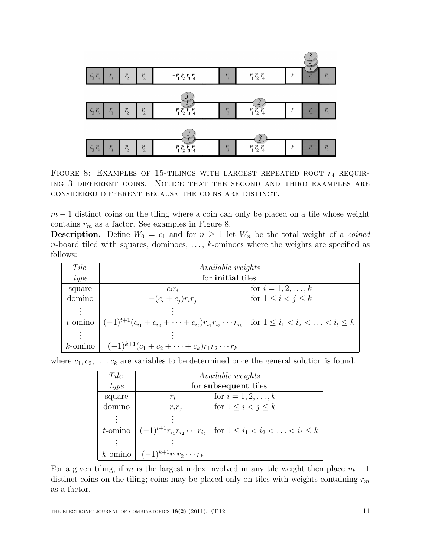

FIGURE 8: EXAMPLES OF 15-TILINGS WITH LARGEST REPEATED ROOT  $r_4$  REQUIRing 3 different coins. Notice that the second and third examples are considered different because the coins are distinct.

 $m-1$  distinct coins on the tiling where a coin can only be placed on a tile whose weight contains  $r_m$  as a factor. See examples in Figure 8.

**Description.** Define  $W_0 = c_1$  and for  $n \geq 1$  let  $W_n$  be the total weight of a *coined*  $n$ -board tiled with squares, dominoes,  $\dots$ ,  $k$ -ominoes where the weights are specified as follows:

| Tile   | <i>Available weights</i>                                                                                                      |                              |
|--------|-------------------------------------------------------------------------------------------------------------------------------|------------------------------|
| type   | for <b>initial</b> tiles                                                                                                      |                              |
| square | $c_i r_i$                                                                                                                     | for $i = 1, 2, , k$          |
| domino | $-(c_i+c_j)r_ir_i$                                                                                                            | for $1 \leq i \leq j \leq k$ |
| ÷      |                                                                                                                               |                              |
|        | t-omino $ (-1)^{t+1}(c_{i_1}+c_{i_2}+\cdots+c_{i_t})r_{i_1}r_{i_2}\cdots r_{i_t}$ for $1\leq i_1 < i_2 < \ldots < i_t \leq k$ |                              |
|        |                                                                                                                               |                              |
|        | k-omino $(-1)^{k+1}(c_1+c_2+\cdots+c_k)r_1r_2\cdots r_k$                                                                      |                              |

| where $c_1, c_2, \ldots, c_k$ are variables to be determined once the general solution is found. |  |  |  |
|--------------------------------------------------------------------------------------------------|--|--|--|
|--------------------------------------------------------------------------------------------------|--|--|--|

| Tile       |                              | <i>Available weights</i>                                                                              |
|------------|------------------------------|-------------------------------------------------------------------------------------------------------|
| type       | for subsequent tiles         |                                                                                                       |
| square     | $r_i$                        | for $i = 1, 2, , k$                                                                                   |
| domino     | $-r_i r_i$                   | for $1 \leq i < j \leq k$                                                                             |
|            |                              |                                                                                                       |
|            |                              | <i>t</i> -omino $(-1)^{t+1}r_{i_1}r_{i_2}\cdots r_{i_t}$ for $1 \leq i_1 < i_2 < \ldots < i_t \leq k$ |
|            |                              |                                                                                                       |
| $k$ -omino | $(-1)^{k+1}r_1r_2\cdots r_k$ |                                                                                                       |

For a given tiling, if m is the largest index involved in any tile weight then place  $m-1$ distinct coins on the tiling; coins may be placed only on tiles with weights containing  $r_m$ as a factor.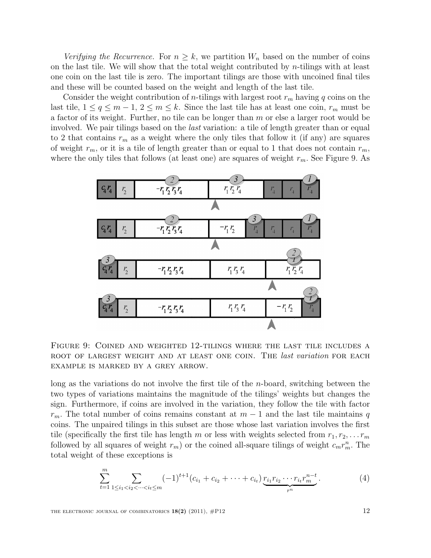Verifying the Recurrence. For  $n \geq k$ , we partition  $W_n$  based on the number of coins on the last tile. We will show that the total weight contributed by  $n$ -tilings with at least one coin on the last tile is zero. The important tilings are those with uncoined final tiles and these will be counted based on the weight and length of the last tile.

Consider the weight contribution of *n*-tilings with largest root  $r_m$  having q coins on the last tile,  $1 \le q \le m-1$ ,  $2 \le m \le k$ . Since the last tile has at least one coin,  $r_m$  must be a factor of its weight. Further, no tile can be longer than m or else a larger root would be involved. We pair tilings based on the *last* variation: a tile of length greater than or equal to 2 that contains  $r_m$  as a weight where the only tiles that follow it (if any) are squares of weight  $r_m$ , or it is a tile of length greater than or equal to 1 that does not contain  $r_m$ , where the only tiles that follows (at least one) are squares of weight  $r_m$ . See Figure 9. As



Figure 9: Coined and weighted 12-tilings where the last tile includes a ROOT OF LARGEST WEIGHT AND AT LEAST ONE COIN. THE *last variation* FOR EACH example is marked by a grey arrow.

long as the variations do not involve the first tile of the n-board, switching between the two types of variations maintains the magnitude of the tilings' weights but changes the sign. Furthermore, if coins are involved in the variation, they follow the tile with factor  $r_m$ . The total number of coins remains constant at  $m-1$  and the last tile maintains q coins. The unpaired tilings in this subset are those whose last variation involves the first tile (specifically the first tile has length m or less with weights selected from  $r_1, r_2, \ldots r_m$ followed by all squares of weight  $r_m$ ) or the coined all-square tilings of weight  $c_m r_m^n$ . The total weight of these exceptions is

$$
\sum_{t=1}^{m} \sum_{1 \leq i_1 < i_2 < \cdots < i_t \leq m} (-1)^{t+1} (c_{i_1} + c_{i_2} + \cdots + c_{i_t}) \underbrace{r_{i_1} r_{i_2} \cdots r_{i_t} r_m^{n-t}}_{r^n}.
$$
\n
$$
\tag{4}
$$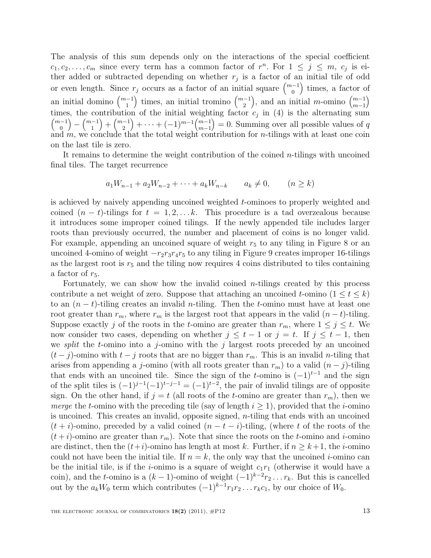The analysis of this sum depends only on the interactions of the special coefficient  $c_1, c_2, \ldots, c_m$  since every term has a common factor of  $r^n$ . For  $1 \leq j \leq m$ ,  $c_j$  is either added or subtracted depending on whether  $r_j$  is a factor of an initial tile of odd or even length. Since  $r_j$  occurs as a factor of an initial square  $\binom{m-1}{0}$  times, a factor of an initial domino  $\binom{m-1}{1}$ ) times, an initial tromino  $\binom{m-1}{2}$ ), and an initial *m*-omino  $\binom{m-1}{m-1}$  $m-1$  $\setminus$ times, the contribution of the initial weighting factor  $c_j$  in (4) is the alternating sum  $\binom{m-1}{0}$  $\binom{m-1}{1}$  $+ \binom{m-1}{2}$  $+ \cdots + (-1)^{m-1} {m-1 \choose m-1}$  $m-1$  $= 0.$  Summing over all possible values of q and  $m$ , we conclude that the total weight contribution for  $n$ -tilings with at least one coin on the last tile is zero.

It remains to determine the weight contribution of the coined  $n$ -tilings with uncoined final tiles. The target recurrence

$$
a_1 W_{n-1} + a_2 W_{n-2} + \dots + a_k W_{n-k} \qquad a_k \neq 0, \qquad (n \geq k)
$$

is achieved by naively appending uncoined weighted t-ominoes to properly weighted and coined  $(n - t)$ -tilings for  $t = 1, 2, \ldots k$ . This procedure is a tad overzealous because it introduces some improper coined tilings. If the newly appended tile includes larger roots than previously occurred, the number and placement of coins is no longer valid. For example, appending an uncoined square of weight  $r<sub>5</sub>$  to any tiling in Figure 8 or an uncoined 4-omino of weight  $-r_2r_3r_4r_5$  to any tiling in Figure 9 creates improper 16-tilings as the largest root is  $r<sub>5</sub>$  and the tiling now requires 4 coins distributed to tiles containing a factor of  $r_5$ .

Fortunately, we can show how the invalid coined  $n$ -tilings created by this process contribute a net weight of zero. Suppose that attaching an uncoined t-omino  $(1 \le t \le k)$ to an  $(n - t)$ -tiling creates an invalid *n*-tiling. Then the *t*-omino must have at least one root greater than  $r_m$ , where  $r_m$  is the largest root that appears in the valid  $(n-t)$ -tiling. Suppose exactly j of the roots in the t-omino are greater than  $r_m$ , where  $1 \leq j \leq t$ . We now consider two cases, depending on whether  $j \leq t - 1$  or  $j = t$ . If  $j \leq t - 1$ , then we *split* the *t*-omino into a *j*-omino with the *j* largest roots preceded by an uncoined  $(t-j)$ -omino with  $t-j$  roots that are no bigger than  $r_m$ . This is an invalid *n*-tiling that arises from appending a j-omino (with all roots greater than  $r_m$ ) to a valid  $(n - j)$ -tiling that ends with an uncoined tile. Since the sign of the t-omino is  $(-1)^{t-1}$  and the sign of the split tiles is  $(-1)^{j-1}(-1)^{t-j-1} = (-1)^{t-2}$ , the pair of invalid tilings are of opposite sign. On the other hand, if  $j = t$  (all roots of the *t*-omino are greater than  $r_m$ ), then we merge the t-omino with the preceding tile (say of length  $i \geq 1$ ), provided that the *i*-omino is uncoined. This creates an invalid, opposite signed, n-tiling that ends with an uncoined  $(t + i)$ -omino, preceded by a valid coined  $(n - t - i)$ -tiling, (where t of the roots of the  $(t + i)$ -omino are greater than  $r_m$ ). Note that since the roots on the t-omino and i-omino are distinct, then the  $(t+i)$ -omino has length at most k. Further, if  $n \geq k+1$ , the *i*-omino could not have been the initial tile. If  $n = k$ , the only way that the uncoined *i*-omino can be the initial tile, is if the *i*-onimo is a square of weight  $c_1r_1$  (otherwise it would have a coin), and the t-omino is a  $(k-1)$ -omino of weight  $(-1)^{k-2}r_2 \ldots r_k$ . But this is cancelled out by the  $a_kW_0$  term which contributes  $(-1)^{k-1}r_1r_2 \ldots r_kc_1$ , by our choice of  $W_0$ .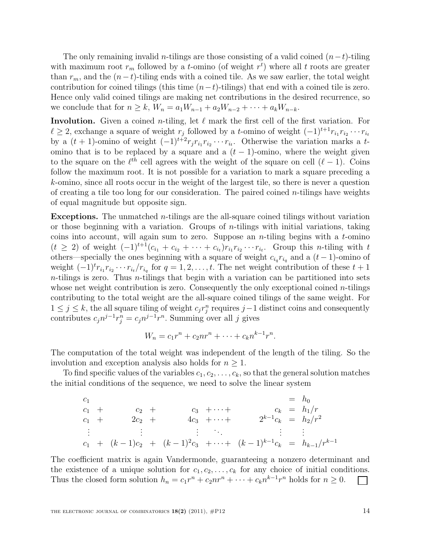The only remaining invalid n-tilings are those consisting of a valid coined  $(n-t)$ -tiling with maximum root  $r_m$  followed by a *t*-omino (of weight  $r<sup>t</sup>$ ) where all *t* roots are greater than  $r_m$ , and the  $(n-t)$ -tiling ends with a coined tile. As we saw earlier, the total weight contribution for coined tilings (this time  $(n-t)$ -tilings) that end with a coined tile is zero. Hence only valid coined tilings are making net contributions in the desired recurrence, so we conclude that for  $n \ge k$ ,  $W_n = a_1 W_{n-1} + a_2 W_{n-2} + \cdots + a_k W_{n-k}$ .

Involution. Given a coined *n*-tiling, let  $\ell$  mark the first cell of the first variation. For  $\ell \geq 2$ , exchange a square of weight  $r_j$  followed by a t-omino of weight  $(-1)^{t+1}r_{i_1}r_{i_2}\cdots r_{i_t}$ by a  $(t + 1)$ -omino of weight  $(-1)^{t+2} r_j r_{i_1} r_{i_2} \cdots r_{i_t}$ . Otherwise the variation marks a tomino that is to be replaced by a square and a  $(t - 1)$ -omino, where the weight given to the square on the  $\ell^{th}$  cell agrees with the weight of the square on cell  $(\ell - 1)$ . Coins follow the maximum root. It is not possible for a variation to mark a square preceding a k-omino, since all roots occur in the weight of the largest tile, so there is never a question of creating a tile too long for our consideration. The paired coined  $n$ -tilings have weights of equal magnitude but opposite sign.

**Exceptions.** The unmatched  $n$ -tilings are the all-square coined tilings without variation or those beginning with a variation. Groups of *n*-tilings with initial variations, taking coins into account, will again sum to zero. Suppose an *n*-tiling begins with a  $t$ -omino  $(t \geq 2)$  of weight  $(-1)^{t+1}(c_{i_1} + c_{i_2} + \cdots + c_{i_t})r_{i_1}r_{i_2}\cdots r_{i_t}$ . Group this *n*-tiling with t others—specially the ones beginning with a square of weight  $c_{i_q}r_{i_q}$  and a  $(t-1)$ -omino of weight  $(-1)^t r_{i_1} r_{i_2} \cdots r_{i_t}/r_{i_q}$  for  $q = 1, 2, \ldots, t$ . The net weight contribution of these  $t + 1$  $n$ -tilings is zero. Thus  $n$ -tilings that begin with a variation can be partitioned into sets whose net weight contribution is zero. Consequently the only exceptional coined  $n$ -tilings contributing to the total weight are the all-square coined tilings of the same weight. For  $1 \leq j \leq k$ , the all square tiling of weight  $c_j r_j^n$  requires j −1 distinct coins and consequently contributes  $c_j n^{j-1} r_j^n = c_j n^{j-1} r^n$ . Summing over all j gives

$$
W_n = c_1r^n + c_2nr^n + \cdots + c_kn^{k-1}r^n.
$$

The computation of the total weight was independent of the length of the tiling. So the involution and exception analysis also holds for  $n \geq 1$ .

To find specific values of the variables  $c_1, c_2, \ldots, c_k$ , so that the general solution matches the initial conditions of the sequence, we need to solve the linear system

$$
c_1 = h_0
$$
  
\n
$$
c_1 + c_2 + c_3 + \cdots + c_k = h_1/r
$$
  
\n
$$
c_1 + 2c_2 + 4c_3 + \cdots + 2^{k-1}c_k = h_2/r^2
$$
  
\n
$$
\vdots \qquad \vdots \qquad \vdots
$$
  
\n
$$
c_1 + (k-1)c_2 + (k-1)^2c_3 + \cdots + (k-1)^{k-1}c_k = h_{k-1}/r^{k-1}
$$

The coefficient matrix is again Vandermonde, guaranteeing a nonzero determinant and the existence of a unique solution for  $c_1, c_2, \ldots, c_k$  for any choice of initial conditions. Thus the closed form solution  $h_n = c_1 r^n + c_2 n r^n + \cdots + c_k n^{k-1} r^n$  holds for  $n \ge 0$ .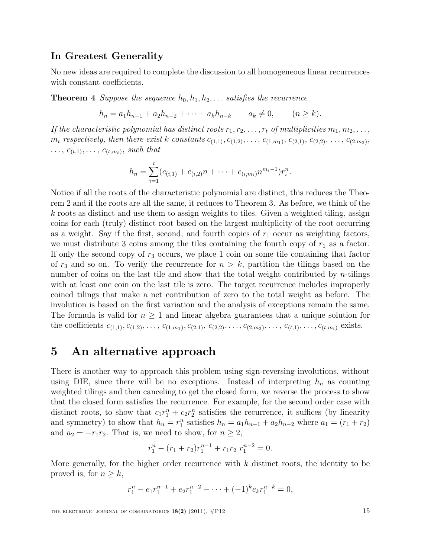### In Greatest Generality

No new ideas are required to complete the discussion to all homogeneous linear recurrences with constant coefficients.

**Theorem 4** Suppose the sequence  $h_0, h_1, h_2, \ldots$  satisfies the recurrence

 $h_n = a_1 h_{n-1} + a_2 h_{n-2} + \cdots + a_k h_{n-k} \qquad a_k \neq 0, \qquad (n \geq k).$ 

If the characteristic polynomial has distinct roots  $r_1, r_2, \ldots, r_t$  of multiplicities  $m_1, m_2, \ldots,$  $m_t$  respectively, then there exist k constants  $c_{(1,1)}, c_{(1,2)}, \ldots, c_{(1,m_1)}, c_{(2,1)}, c_{(2,2)}, \ldots, c_{(2,m_2)}$ ,  $\ldots, c_{(t,1)}, \ldots, c_{(t,m_t)},$  such that

$$
h_n = \sum_{i=1}^t (c_{(i,1)} + c_{(i,2)}n + \cdots + c_{(i,m_i)}n^{m_i-1})r_i^n.
$$

Notice if all the roots of the characteristic polynomial are distinct, this reduces the Theorem 2 and if the roots are all the same, it reduces to Theorem 3. As before, we think of the  $k$  roots as distinct and use them to assign weights to tiles. Given a weighted tiling, assign coins for each (truly) distinct root based on the largest multiplicity of the root occurring as a weight. Say if the first, second, and fourth copies of  $r_1$  occur as weighting factors, we must distribute 3 coins among the tiles containing the fourth copy of  $r_1$  as a factor. If only the second copy of  $r_3$  occurs, we place 1 coin on some tile containing that factor of  $r_3$  and so on. To verify the recurrence for  $n > k$ , partition the tilings based on the number of coins on the last tile and show that the total weight contributed by  $n$ -tilings with at least one coin on the last tile is zero. The target recurrence includes improperly coined tilings that make a net contribution of zero to the total weight as before. The involution is based on the first variation and the analysis of exceptions remain the same. The formula is valid for  $n \geq 1$  and linear algebra guarantees that a unique solution for the coefficients  $c_{(1,1)}, c_{(1,2)}, \ldots, c_{(1,m_1)}, c_{(2,1)}, c_{(2,2)}, \ldots, c_{(2,m_2)}, \ldots, c_{(t,1)}, \ldots, c_{(t,m_t)}$  exists.

### 5 An alternative approach

There is another way to approach this problem using sign-reversing involutions, without using DIE, since there will be no exceptions. Instead of interpreting  $h_n$  as counting weighted tilings and then canceling to get the closed form, we reverse the process to show that the closed form satisfies the recurrence. For example, for the second order case with distinct roots, to show that  $c_1r_1^n + c_2r_2^n$  satisfies the recurrence, it suffices (by linearity and symmetry) to show that  $h_n = r_1^n$  satisfies  $h_n = a_1 h_{n-1} + a_2 h_{n-2}$  where  $a_1 = (r_1 + r_2)$ and  $a_2 = -r_1r_2$ . That is, we need to show, for  $n \geq 2$ ,

$$
r_1^n - (r_1 + r_2)r_1^{n-1} + r_1r_2 \ r_1^{n-2} = 0.
$$

More generally, for the higher order recurrence with  $k$  distinct roots, the identity to be proved is, for  $n \geq k$ ,

$$
r_1^n - e_1 r_1^{n-1} + e_2 r_1^{n-2} - \dots + (-1)^k e_k r_1^{n-k} = 0,
$$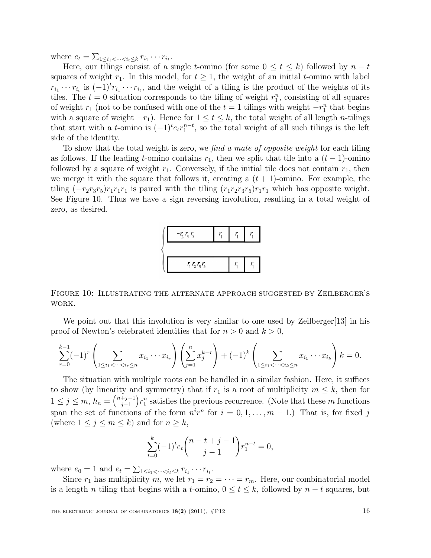where  $e_t = \sum_{1 \leq i_1 < \dots < i_t \leq k} r_{i_1} \cdots r_{i_t}$ .

Here, our tilings consist of a single t-omino (for some  $0 \le t \le k$ ) followed by  $n - t$ squares of weight  $r_1$ . In this model, for  $t \geq 1$ , the weight of an initial t-omino with label  $r_{i_1} \cdots r_{i_t}$  is  $(-1)^t r_{i_1} \cdots r_{i_t}$ , and the weight of a tiling is the product of the weights of its tiles. The  $t = 0$  situation corresponds to the tiling of weight  $r_1^n$ , consisting of all squares of weight  $r_1$  (not to be confused with one of the  $t = 1$  tilings with weight  $-r_1^n$  that begins with a square of weight  $-r_1$ ). Hence for  $1 \le t \le k$ , the total weight of all length *n*-tilings that start with a t-omino is  $(-1)^t e_t r_1^{n-t}$ , so the total weight of all such tilings is the left side of the identity.

To show that the total weight is zero, we find a mate of opposite weight for each tiling as follows. If the leading t-omino contains  $r_1$ , then we split that tile into a  $(t-1)$ -omino followed by a square of weight  $r_1$ . Conversely, if the initial tile does not contain  $r_1$ , then we merge it with the square that follows it, creating a  $(t + 1)$ -omino. For example, the tiling  $(-r_2r_3r_5)r_1r_1r_1$  is paired with the tiling  $(r_1r_2r_3r_5)r_1r_1$  which has opposite weight. See Figure 10. Thus we have a sign reversing involution, resulting in a total weight of zero, as desired.



Figure 10: Illustrating the alternate approach suggested by Zeilberger's work.

We point out that this involution is very similar to one used by Zeilberger[13] in his proof of Newton's celebrated identities that for  $n > 0$  and  $k > 0$ ,

$$
\sum_{r=0}^{k-1}(-1)^r \left(\sum_{1 \leq i_1 < \dots < i_r \leq n} x_{i_1} \cdots x_{i_r}\right) \left(\sum_{j=1}^n x_j^{k-r}\right) + (-1)^k \left(\sum_{1 \leq i_1 < \dots < i_k \leq n} x_{i_1} \cdots x_{i_k}\right) k = 0.
$$

The situation with multiple roots can be handled in a similar fashion. Here, it suffices to show (by linearity and symmetry) that if  $r_1$  is a root of multiplicity  $m \leq k$ , then for  $1 \le j \le m, h_n = {\binom{n+j-1}{j-1}}$  $j-1$  $r_1^n$  satisfies the previous recurrence. (Note that these m functions) span the set of functions of the form  $n^i r^n$  for  $i = 0, 1, ..., m - 1$ .) That is, for fixed j (where  $1 \leq j \leq m \leq k$ ) and for  $n \geq k$ ,

$$
\sum_{t=0}^{k} (-1)^{t} e_{t} {n-t+j-1 \choose j-1} r_{1}^{n-t} = 0,
$$

where  $e_0 = 1$  and  $e_t = \sum_{1 \le i_1 < \dots < i_t \le k} r_{i_1} \cdots r_{i_t}$ .

Since  $r_1$  has multiplicity m, we let  $r_1 = r_2 = \cdots = r_m$ . Here, our combinatorial model is a length n tiling that begins with a t-omino,  $0 \le t \le k$ , followed by  $n - t$  squares, but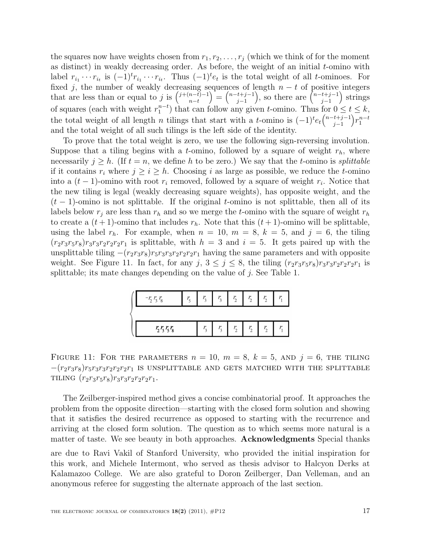the squares now have weights chosen from  $r_1, r_2, \ldots, r_j$  (which we think of for the moment as distinct) in weakly decreasing order. As before, the weight of an initial  $t$ -omino with label  $r_{i_1} \cdots r_{i_t}$  is  $(-1)^t r_{i_1} \cdots r_{i_t}$ . Thus  $(-1)^t e_t$  is the total weight of all t-ominoes. For fixed j, the number of weakly decreasing sequences of length  $n - t$  of positive integers that are less than or equal to j is  $\binom{j+(n-t)-1}{n-t}$  $n-t$  $=$  $\binom{n-t+j-1}{i-1}$  $j-1$ ), so there are  $\binom{n-t+j-1}{i-1}$  $j-1$  strings of squares (each with weight  $r_1^{n-t}$ ) that can follow any given t-omino. Thus for  $0 \le t \le k$ , the total weight of all length *n* tilings that start with a *t*-omino is  $(-1)^t e_t \binom{n-t+j-1}{j-1}$  $j-1$  $\Big) r_1^{n-t}$ and the total weight of all such tilings is the left side of the identity.

To prove that the total weight is zero, we use the following sign-reversing involution. Suppose that a tiling begins with a t-omino, followed by a square of weight  $r_h$ , where necessarily  $j \geq h$ . (If  $t = n$ , we define h to be zero.) We say that the t-omino is *splittable* if it contains  $r_i$  where  $j \geq i \geq h$ . Choosing i as large as possible, we reduce the t-omino into a  $(t-1)$ -omino with root  $r_i$  removed, followed by a square of weight  $r_i$ . Notice that the new tiling is legal (weakly decreasing square weights), has opposite weight, and the  $(t-1)$ -omino is not splittable. If the original t-omino is not splittable, then all of its labels below  $r_j$  are less than  $r_h$  and so we merge the t-omino with the square of weight  $r_h$ to create a  $(t+1)$ -omino that includes  $r_h$ . Note that this  $(t+1)$ -omino will be splittable, using the label  $r_h$ . For example, when  $n = 10$ ,  $m = 8$ ,  $k = 5$ , and  $j = 6$ , the tiling  $(r_2r_3r_5r_8)r_3r_3r_2r_2r_2r_1$  is splittable, with  $h = 3$  and  $i = 5$ . It gets paired up with the unsplittable tiling  $-(r_2r_3r_8)r_5r_3r_3r_2r_2r_2r_1$  having the same parameters and with opposite weight. See Figure 11. In fact, for any j,  $3 \leq j \leq 8$ , the tiling  $(r_2r_3r_5r_8)r_3r_3r_2r_2r_2r_1$  is splittable; its mate changes depending on the value of  $j$ . See Table 1.



FIGURE 11: FOR THE PARAMETERS  $n = 10$ ,  $m = 8$ ,  $k = 5$ , and  $j = 6$ , the tiling  $-(r_2r_3r_8)r_5r_3r_3r_2r_2r_2r_1$  is UNSPLITTABLE AND GETS MATCHED WITH THE SPLITTABLE TILING  $(r_2r_3r_5r_8)r_3r_3r_2r_2r_2r_1$ .

The Zeilberger-inspired method gives a concise combinatorial proof. It approaches the problem from the opposite direction—starting with the closed form solution and showing that it satisfies the desired recurrence as opposed to starting with the recurrence and arriving at the closed form solution. The question as to which seems more natural is a matter of taste. We see beauty in both approaches. Acknowledgments Special thanks

are due to Ravi Vakil of Stanford University, who provided the initial inspiration for this work, and Michele Intermont, who served as thesis advisor to Halcyon Derks at Kalamazoo College. We are also grateful to Doron Zeilberger, Dan Velleman, and an anonymous referee for suggesting the alternate approach of the last section.